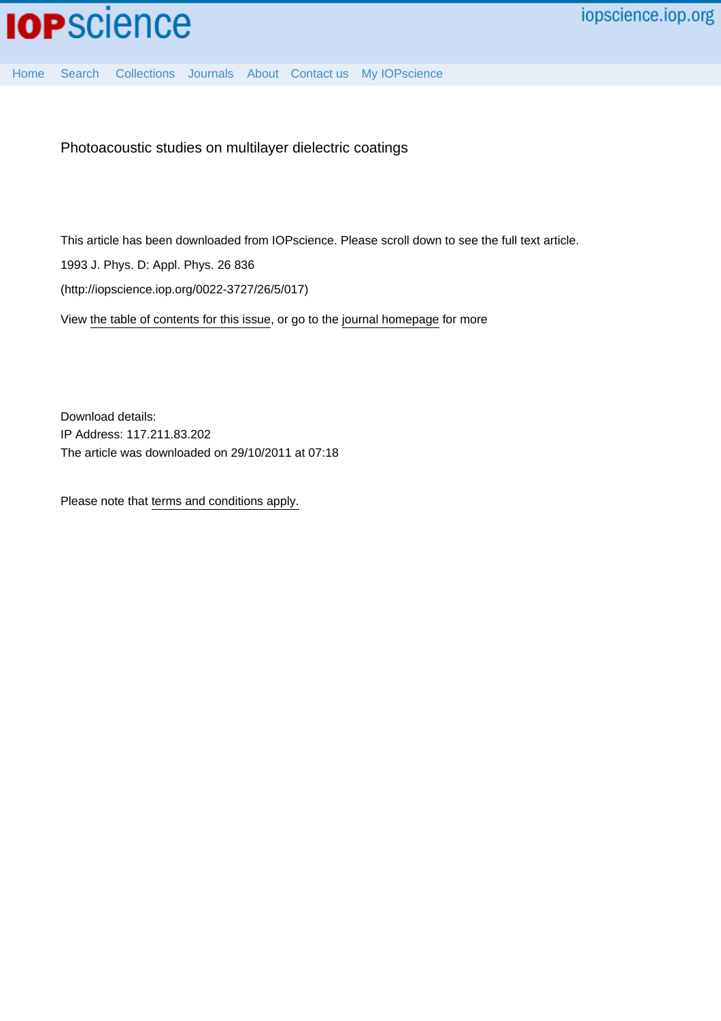

Photoacoustic studies on multilayer dielectric coatings

This article has been downloaded from IOPscience. Please scroll down to see the full text article.

1993 J. Phys. D: Appl. Phys. 26 836

(http://iopscience.iop.org/0022-3727/26/5/017)

View [the table of contents for this issue](http://iopscience.iop.org/0022-3727/26/5), or go to the [journal homepage](http://iopscience.iop.org/0022-3727) for more

Download details: IP Address: 117.211.83.202 The article was downloaded on 29/10/2011 at 07:18

Please note that [terms and conditions apply.](http://iopscience.iop.org/page/terms)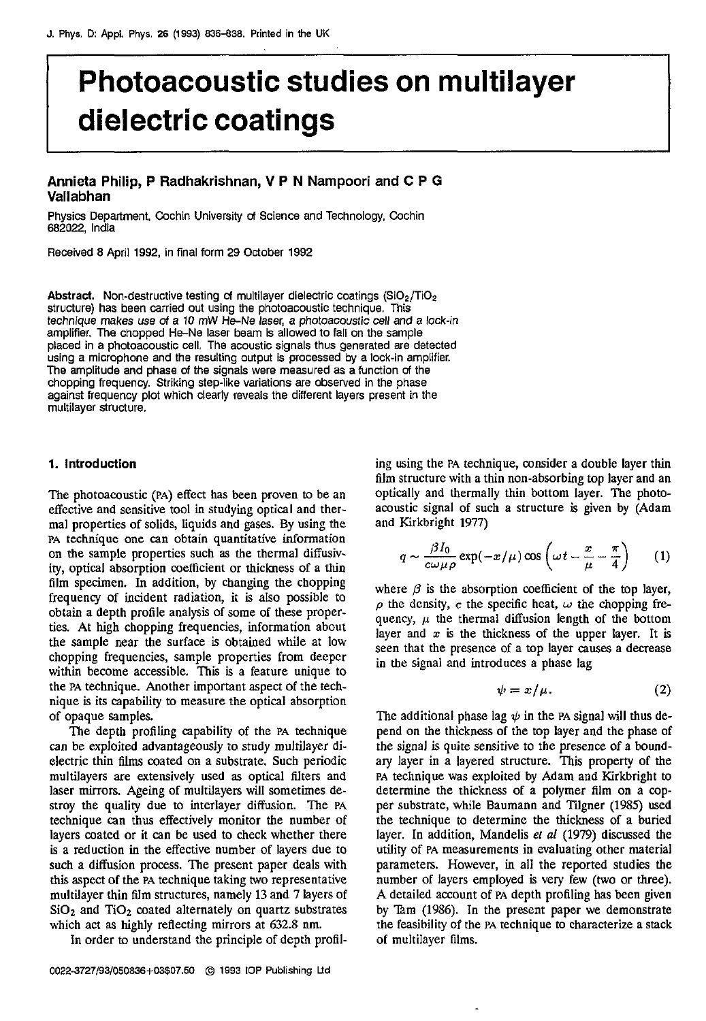# **Photoacoustic studies on multilayer dielectric coatings**

# **Annieta Philip, P Radhakrishnan, V P N Nampoori and C P G Vallabhan**

Physics Department, Cochin University **of** Science and Technology, Cochin **682022,** India

Received **8** April **1992,** in final form **29** October **1992** 

Abstract. Non-destructive testing of multilayer dielectric coatings (SiO<sub>2</sub>/TiO<sub>2</sub> structure) has been carried out using the photoacoustic technique. This technique makes use *d* a 10 mW He-Ne laser, a photoacoustic cell **and** a lock-in placed in a photoacoustic cell. The acoustic signals thus generated are detected using a microphone and the resulting output is processed **by** a lock-in amplifier. The amplitude **and** phase *of* the signals were measured as afunction **of** the against frequency plot which clearly reveals the different layers present in the multilayer structure.

### **1. Introduction**

The photoacoustic **(PA)** effect has been proven to be an effective and sensitive tool in studying optical and thermal properties of solids, liquids and gases. By using the **PA** technique one can obtain quantitative information on the sample properties such **as** the thermal diffusivity, optical absorption coefficient or thickness of a thin film specimen. In addition, by changing the chopping frequency of incident radiation, it is also possible to obtain a depth profile analysis of some of these properties. At high chopping frequencies, information about the sample near the surface is obtained while at low chopping frequencies, sample properties from deepcr within become accessible. This is a feature unique to the **PA** technique. Another important aspect of the technique **is** its capability to measure the optical absorption of opaque samples.

The depth profiling capability of the **PA** technique can be exploited advantageously to study multilayer dielectric thin films coated on a substrate. Such periodic multilayers are extensively used **as** optical filters and laser mirrors. Ageing of multilayers will sometimes destroy the quality due to interlayer diffusion. The **PA**  technique can thus effectively monitor the number of layers coated or it can be used to check whether there is a reduction in the effective number of layers due to such *a* diffusion process. The present paper deals with this aspect of the **PA** technique taking *two* representative multilayer thin film structures, namely **13** and **7** layers of  $SiO<sub>2</sub>$  and  $TiO<sub>2</sub>$  coated alternately on quartz substrates which act **as** highly reflecting mirrors at *632.8* nm.

In order to understand the principle of depth profil-

ing using the **PA** technique, consider a double layer thin film structure with a thin non-absorbing top layer and an optically and thermally thin bottom layer. The photoacoustic signal of such a structure is given by (Adam and Kirkbright **1977)** 

$$
q \sim \frac{\beta I_0}{c\omega\mu\rho} \exp(-x/\mu) \cos\left(\omega t - \frac{x}{\mu} - \frac{\pi}{4}\right) \qquad (1)
$$

where  $\beta$  is the absorption coefficient of the top layer,  $\rho$  the density,  $c$  the specific heat,  $\omega$  the chopping frequency,  $\mu$  the thermal diffusion length of the bottom layer and  $x$  is the thickness of the upper layer. It is seen that the presence of a top layer causes a decrease in the signal and introduces a phase lag

$$
\psi = x/\mu. \tag{2}
$$

The additional phase lag  $\psi$  in the PA signal will thus depend on the thickness **of** the top layer and the phase of the signal **is** quite sensitive to the presence of a boundary layer in a layered structure. This property of the **PA** technique was exploited by Adam and Kirkbright to determine the thickness of a polymer film on a copper substrate, while Baumann and Tigner **(1985)** used the technique to determine the thickness of a buried layer. In addition, Mandelis *el a1* **(1979)** discussed the utility of **PA** measurements in evaluating other material parameters. However, in all the reported studies the number of layers employed is very few (two or three). A detailed account of **PA** depth profiling **has** been given by **%m (19%).** In the present paper we demonstrate the feasibility of the **PA** technique **to** characterize a stack of multilayer **films.**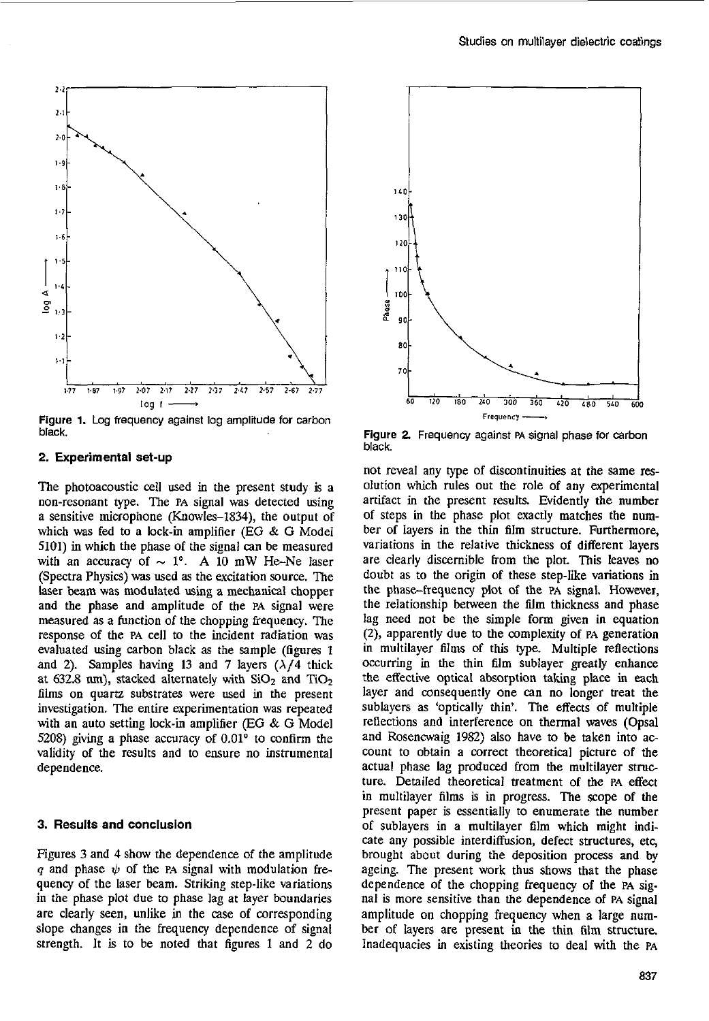

black.

## **2.** Experimental set-up

The photoacoustic cell used in the present study is a non-resonant type. The **PA** signal was detected using a sensitive microphone (KnowIes-1834), the output of which was fed to a lock-in amplifier (EG & G Model 5101) in which the phase of the signal can be measured with an accuracy of  $\sim 1^{\circ}$ . A 10 mW He-Ne laser (Spectra Physics) **was** used as the excitation source. The laser beam was modulated using a mechanical chopper and the phase and amplitude of the **PA** signal were measured **as** a function *of* the chopping frequency. The response of the **PA** cell to the incident radiation was evaluated using carbon black as the sample (figures **1**  and 2). Samples having 13 and 7 layers  $(\lambda/4)$  thick at 632.8 nm), stacked alternately with  $SiO<sub>2</sub>$  and  $TiO<sub>2</sub>$ films on quartz substrates were used in the present investigation. The entire experimentation was repeated with an auto setting lock-in amplifier *(EG* & G Model 5208) giving a phase accuracy of 0.01<sup>°</sup> to confirm the validity **of** the results and to ensure no instrumental dependence.

### 3. Results and conclusion

Figures 3 and 4 show the dependence of the amplitude *q* and phase  $\psi$  of the PA signal with modulation frequency of the laser beam. Striking step-like variations in the phase plot due to phase lag at layer boundaries are clearly seen, unlike in the case of corresponding slope changes in the frequency dependence of signal strength. It is to be noted that figures 1 and 2 do



Figure **2** Frequency against **PA** signal phase for carbon black.

not reveal any type of discontinuities at the same **res**olution which rules out the role of any experimental artifact in the present **results.** Evidently the number of steps in the phase plot exactly matches the number of layers in the thin film structure. Furthermore, variations in the relative thickness of different layers are clearly discernible from the plot. **This** leaves no doubt as to the origin of these step-like variations in the phase-frequency plot of the PA signal. However, the relationship between the film thickness and phase lag need not be the simple form given in equation **(2),** apparently due to the complexity of **PA** generation in multilayer films of this type. Multiple reflections occurring in the thin film sublayer greatly enhance the effective optical absorption taking place in each layer and consequently one can no longer treat the sublayers as 'optically thin'. The effects of multiple reflections and interference on thermal waves (Opsal and Rosencwaig 1982) also have to be taken into account to obtain a correct theoretical picture of the actual phase lag produced from the multilayer structure. Detailed theoretical treatment of the **PA** effect in multilayer films is in progress. The scope of the present paper is essentially to enumerate the number of sublayers in a multilayer film which might indicate any possible interdiffusion, defect structures, etc, brought about during the deposition process and by ageing. The present work thus shows that the phase dependence of the chopping frequency of the **PA** signal **is** more sensitive than the dependence of **PA** signal amplitude on chopping frequency when a large number of layers are present in the thin film structure. Inadequacies in existing theories to deal with the **PA**